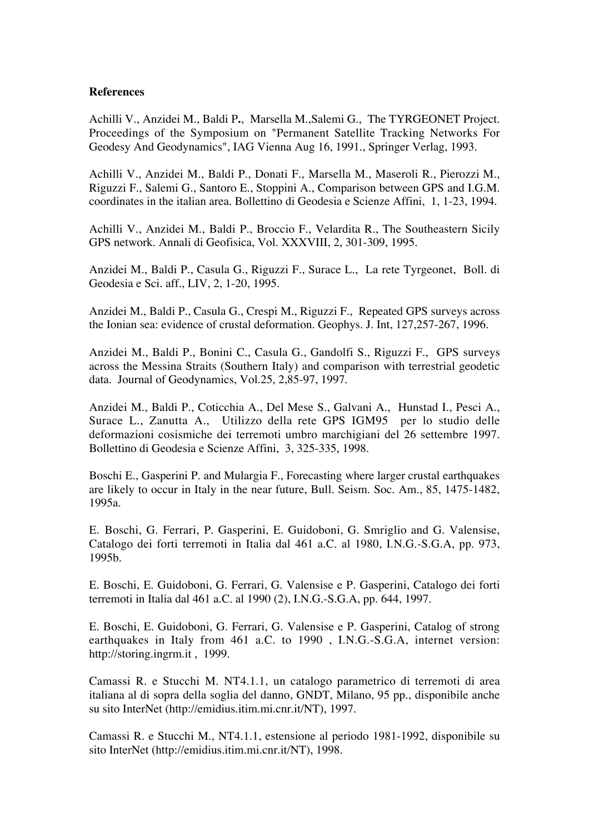## **References**

Achilli V., Anzidei M., Baldi P**.**, Marsella M.,Salemi G., The TYRGEONET Project. Proceedings of the Symposium on "Permanent Satellite Tracking Networks For Geodesy And Geodynamics", IAG Vienna Aug 16, 1991., Springer Verlag, 1993.

Achilli V., Anzidei M., Baldi P., Donati F., Marsella M., Maseroli R., Pierozzi M., Riguzzi F., Salemi G., Santoro E., Stoppini A., Comparison between GPS and I.G.M. coordinates in the italian area. Bollettino di Geodesia e Scienze Affini, 1, 1-23, 1994.

Achilli V., Anzidei M., Baldi P., Broccio F., Velardita R., The Southeastern Sicily GPS network. Annali di Geofisica, Vol. XXXVIII, 2, 301-309, 1995.

Anzidei M., Baldi P., Casula G., Riguzzi F., Surace L., La rete Tyrgeonet, Boll. di Geodesia e Sci. aff., LIV, 2, 1-20, 1995.

Anzidei M., Baldi P., Casula G., Crespi M., Riguzzi F., Repeated GPS surveys across the Ionian sea: evidence of crustal deformation. Geophys. J. Int, 127,257-267, 1996.

Anzidei M., Baldi P., Bonini C., Casula G., Gandolfi S., Riguzzi F., GPS surveys across the Messina Straits (Southern Italy) and comparison with terrestrial geodetic data. Journal of Geodynamics, Vol.25, 2,85-97, 1997.

Anzidei M., Baldi P., Coticchia A., Del Mese S., Galvani A., Hunstad I., Pesci A., Surace L., Zanutta A., Utilizzo della rete GPS IGM95 per lo studio delle deformazioni cosismiche dei terremoti umbro marchigiani del 26 settembre 1997. Bollettino di Geodesia e Scienze Affini, 3, 325-335, 1998.

Boschi E., Gasperini P. and Mulargia F., Forecasting where larger crustal earthquakes are likely to occur in Italy in the near future, Bull. Seism. Soc. Am., 85, 1475-1482, 1995a.

E. Boschi, G. Ferrari, P. Gasperini, E. Guidoboni, G. Smriglio and G. Valensise, Catalogo dei forti terremoti in Italia dal 461 a.C. al 1980, I.N.G.-S.G.A, pp. 973, 1995b.

E. Boschi, E. Guidoboni, G. Ferrari, G. Valensise e P. Gasperini, Catalogo dei forti terremoti in Italia dal 461 a.C. al 1990 (2), I.N.G.-S.G.A, pp. 644, 1997.

E. Boschi, E. Guidoboni, G. Ferrari, G. Valensise e P. Gasperini, Catalog of strong earthquakes in Italy from 461 a.C. to 1990 , I.N.G.-S.G.A, internet version: http://storing.ingrm.it , 1999.

Camassi R. e Stucchi M. NT4.1.1, un catalogo parametrico di terremoti di area italiana al di sopra della soglia del danno, GNDT, Milano, 95 pp., disponibile anche su sito InterNet (http://emidius.itim.mi.cnr.it/NT), 1997.

Camassi R. e Stucchi M., NT4.1.1, estensione al periodo 1981-1992, disponibile su sito InterNet (http://emidius.itim.mi.cnr.it/NT), 1998.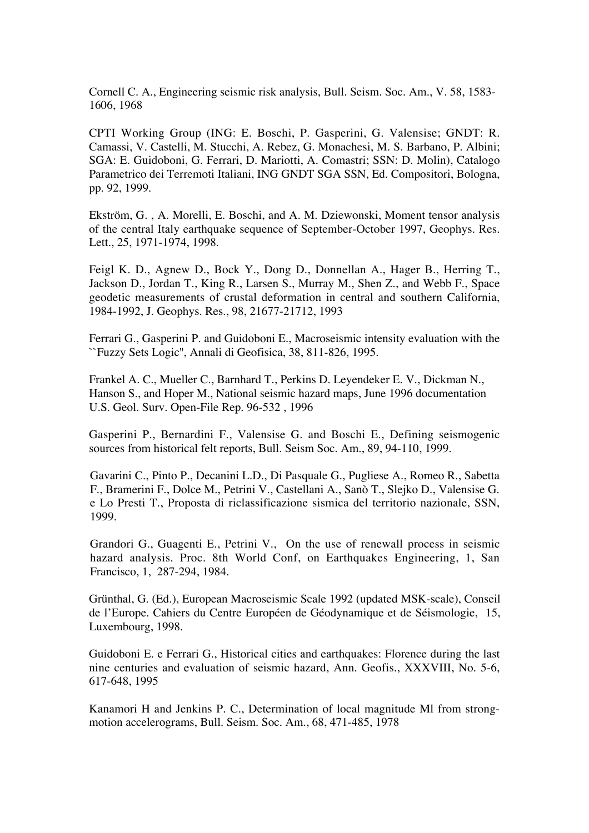Cornell C. A., Engineering seismic risk analysis, Bull. Seism. Soc. Am., V. 58, 1583- 1606, 1968

CPTI Working Group (ING: E. Boschi, P. Gasperini, G. Valensise; GNDT: R. Camassi, V. Castelli, M. Stucchi, A. Rebez, G. Monachesi, M. S. Barbano, P. Albini; SGA: E. Guidoboni, G. Ferrari, D. Mariotti, A. Comastri; SSN: D. Molin), Catalogo Parametrico dei Terremoti Italiani, ING GNDT SGA SSN, Ed. Compositori, Bologna, pp. 92, 1999.

Ekström, G. , A. Morelli, E. Boschi, and A. M. Dziewonski, Moment tensor analysis of the central Italy earthquake sequence of September-October 1997, Geophys. Res. Lett., 25, 1971-1974, 1998.

Feigl K. D., Agnew D., Bock Y., Dong D., Donnellan A., Hager B., Herring T., Jackson D., Jordan T., King R., Larsen S., Murray M., Shen Z., and Webb F., Space geodetic measurements of crustal deformation in central and southern California, 1984-1992, J. Geophys. Res., 98, 21677-21712, 1993

Ferrari G., Gasperini P. and Guidoboni E., Macroseismic intensity evaluation with the ``Fuzzy Sets Logic'', Annali di Geofisica, 38, 811-826, 1995.

Frankel A. C., Mueller C., Barnhard T., Perkins D. Leyendeker E. V., Dickman N., Hanson S., and Hoper M., National seismic hazard maps, June 1996 documentation U.S. Geol. Surv. Open-File Rep. 96-532 , 1996

Gasperini P., Bernardini F., Valensise G. and Boschi E., Defining seismogenic sources from historical felt reports, Bull. Seism Soc. Am., 89, 94-110, 1999.

Gavarini C., Pinto P., Decanini L.D., Di Pasquale G., Pugliese A., Romeo R., Sabetta F., Bramerini F., Dolce M., Petrini V., Castellani A., Sanò T., Slejko D., Valensise G. e Lo Presti T., Proposta di riclassificazione sismica del territorio nazionale, SSN, 1999.

Grandori G., Guagenti E., Petrini V., On the use of renewall process in seismic hazard analysis. Proc. 8th World Conf, on Earthquakes Engineering, 1, San Francisco, 1, 287-294, 1984.

Grünthal, G. (Ed.), European Macroseismic Scale 1992 (updated MSK-scale), Conseil de l'Europe. Cahiers du Centre Européen de Géodynamique et de Séismologie, 15, Luxembourg, 1998.

Guidoboni E. e Ferrari G., Historical cities and earthquakes: Florence during the last nine centuries and evaluation of seismic hazard, Ann. Geofis., XXXVIII, No. 5-6, 617-648, 1995

Kanamori H and Jenkins P. C., Determination of local magnitude Ml from strongmotion accelerograms, Bull. Seism. Soc. Am., 68, 471-485, 1978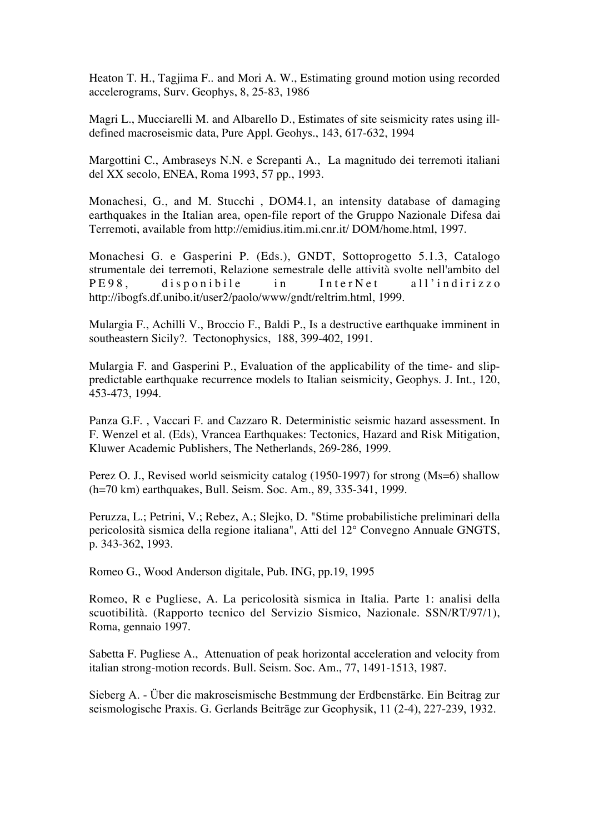Heaton T. H., Tagjima F.. and Mori A. W., Estimating ground motion using recorded accelerograms, Surv. Geophys, 8, 25-83, 1986

Magri L., Mucciarelli M. and Albarello D., Estimates of site seismicity rates using illdefined macroseismic data, Pure Appl. Geohys., 143, 617-632, 1994

Margottini C., Ambraseys N.N. e Screpanti A., La magnitudo dei terremoti italiani del XX secolo, ENEA, Roma 1993, 57 pp., 1993.

Monachesi, G., and M. Stucchi , DOM4.1, an intensity database of damaging earthquakes in the Italian area, open-file report of the Gruppo Nazionale Difesa dai Terremoti, available from http://emidius.itim.mi.cnr.it/ DOM/home.html, 1997.

Monachesi G. e Gasperini P. (Eds.), GNDT, Sottoprogetto 5.1.3, Catalogo strumentale dei terremoti, Relazione semestrale delle attività svolte nell'ambito del PE98, disponibile in InterNet all'indirizzo http://ibogfs.df.unibo.it/user2/paolo/www/gndt/reltrim.html, 1999.

Mulargia F., Achilli V., Broccio F., Baldi P., Is a destructive earthquake imminent in southeastern Sicily?. Tectonophysics, 188, 399-402, 1991.

Mulargia F. and Gasperini P., Evaluation of the applicability of the time- and slippredictable earthquake recurrence models to Italian seismicity, Geophys. J. Int., 120, 453-473, 1994.

Panza G.F. , Vaccari F. and Cazzaro R. Deterministic seismic hazard assessment. In F. Wenzel et al. (Eds), Vrancea Earthquakes: Tectonics, Hazard and Risk Mitigation, Kluwer Academic Publishers, The Netherlands, 269-286, 1999.

Perez O. J., Revised world seismicity catalog (1950-1997) for strong (Ms=6) shallow (h=70 km) earthquakes, Bull. Seism. Soc. Am., 89, 335-341, 1999.

Peruzza, L.; Petrini, V.; Rebez, A.; Slejko, D. "Stime probabilistiche preliminari della pericolosità sismica della regione italiana", Atti del 12° Convegno Annuale GNGTS, p. 343-362, 1993.

Romeo G., Wood Anderson digitale, Pub. ING, pp.19, 1995

Romeo, R e Pugliese, A. La pericolosità sismica in Italia. Parte 1: analisi della scuotibilità. (Rapporto tecnico del Servizio Sismico, Nazionale. SSN/RT/97/1), Roma, gennaio 1997.

Sabetta F. Pugliese A., Attenuation of peak horizontal acceleration and velocity from italian strong-motion records. Bull. Seism. Soc. Am., 77, 1491-1513, 1987.

Sieberg A. - Über die makroseismische Bestmmung der Erdbenstärke. Ein Beitrag zur seismologische Praxis. G. Gerlands Beiträge zur Geophysik, 11 (2-4), 227-239, 1932.